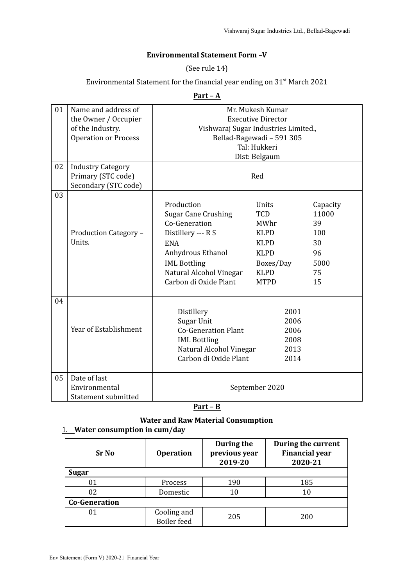### **Environmental Statement Form –V**

### (See rule 14)

#### Environmental Statement for the financial year ending on 31 st March 2021

# **Part – A**

| 01<br>02 | Name and address of<br>the Owner / Occupier<br>of the Industry.<br><b>Operation or Process</b><br><b>Industry Category</b><br>Primary (STC code) | Mr. Mukesh Kumar<br><b>Executive Director</b><br>Vishwaraj Sugar Industries Limited.,<br>Bellad-Bagewadi - 591 305<br>Tal: Hukkeri<br>Dist: Belgaum<br>Red                                    |                                                                                                                     |                                                                |  |  |
|----------|--------------------------------------------------------------------------------------------------------------------------------------------------|-----------------------------------------------------------------------------------------------------------------------------------------------------------------------------------------------|---------------------------------------------------------------------------------------------------------------------|----------------------------------------------------------------|--|--|
|          | Secondary (STC code)                                                                                                                             |                                                                                                                                                                                               |                                                                                                                     |                                                                |  |  |
| 03       | Production Category -<br>Units.                                                                                                                  | Production<br><b>Sugar Cane Crushing</b><br>Co-Generation<br>Distillery --- R S<br><b>ENA</b><br>Anhydrous Ethanol<br><b>IML Bottling</b><br>Natural Alcohol Vinegar<br>Carbon di Oxide Plant | Units<br><b>TCD</b><br>MWhr<br><b>KLPD</b><br><b>KLPD</b><br><b>KLPD</b><br>Boxes/Day<br><b>KLPD</b><br><b>MTPD</b> | Capacity<br>11000<br>39<br>100<br>30<br>96<br>5000<br>75<br>15 |  |  |
| 04       | Year of Establishment                                                                                                                            | Distillery<br>Sugar Unit<br><b>Co-Generation Plant</b><br><b>IML Bottling</b><br>Natural Alcohol Vinegar<br>Carbon di Oxide Plant                                                             | 2001<br>2006<br>2006<br>2008<br>2013<br>2014                                                                        |                                                                |  |  |
| 05       | Date of last<br>Environmental<br>Statement submitted                                                                                             | September 2020                                                                                                                                                                                |                                                                                                                     |                                                                |  |  |

#### **Part – B**

# **Water and Raw Material Consumption**

### 1. **Water consumption in cum/day**

| Sr No                | <b>Operation</b>                  | During the<br>previous year<br>2019-20 | During the current<br><b>Financial year</b><br>2020-21 |  |  |
|----------------------|-----------------------------------|----------------------------------------|--------------------------------------------------------|--|--|
| Sugar                |                                   |                                        |                                                        |  |  |
| 01                   | Process                           | 190                                    | 185                                                    |  |  |
| 02<br>Domestic       |                                   | 10                                     | 10                                                     |  |  |
| <b>Co-Generation</b> |                                   |                                        |                                                        |  |  |
| 01                   | Cooling and<br><b>Boiler</b> feed | 205                                    | 200                                                    |  |  |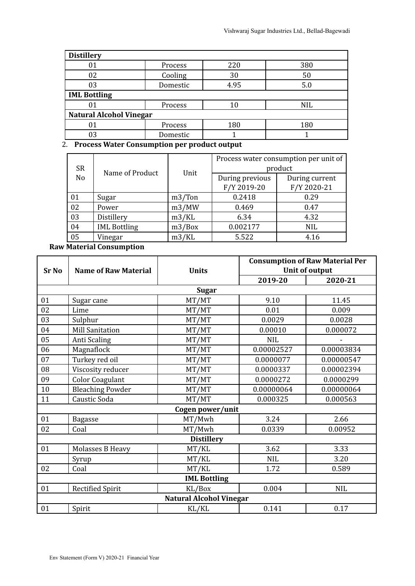| <b>Distillery</b>              |          |      |            |  |  |  |
|--------------------------------|----------|------|------------|--|--|--|
|                                | Process  | 220  | 380        |  |  |  |
| 02                             | Cooling  | 30   | 50         |  |  |  |
| 03                             | Domestic | 4.95 | 5.0        |  |  |  |
| <b>IML Bottling</b>            |          |      |            |  |  |  |
|                                | Process  | 10   | <b>NIL</b> |  |  |  |
| <b>Natural Alcohol Vinegar</b> |          |      |            |  |  |  |
| 180<br>180<br>Process          |          |      |            |  |  |  |
| 03                             | Domestic |      |            |  |  |  |

2. **Process Water Consumption per product output**

|                |                     |        | Process water consumption per unit of |                |  |
|----------------|---------------------|--------|---------------------------------------|----------------|--|
| <b>SR</b>      | Name of Product     | Unit   | product                               |                |  |
| N <sub>o</sub> |                     |        | During previous                       | During current |  |
|                |                     |        | F/Y 2019-20                           | F/Y 2020-21    |  |
| 01             | Sugar               | m3/Ton | 0.2418                                | 0.29           |  |
| 02             | Power               | m3/MW  | 0.469                                 | 0.47           |  |
| 03             | Distillery          | m3/KL  | 6.34                                  | 4.32           |  |
| 04             | <b>IML Bottling</b> | m3/Box | 0.002177                              | <b>NIL</b>     |  |
| 05             | Vinegar             | m3/KL  | 5.522                                 | 4.16           |  |

# **Raw Material Consumption**

| <b>Sr No</b> | <b>Name of Raw Material</b> | <b>Units</b>                   |            | <b>Consumption of Raw Material Per</b><br>Unit of output |  |  |  |  |
|--------------|-----------------------------|--------------------------------|------------|----------------------------------------------------------|--|--|--|--|
|              |                             |                                | 2019-20    | 2020-21                                                  |  |  |  |  |
| <b>Sugar</b> |                             |                                |            |                                                          |  |  |  |  |
| 01           | Sugar cane                  | MT/MT                          | 9.10       | 11.45                                                    |  |  |  |  |
| 02           | Lime                        | MT/MT                          | 0.01       | 0.009                                                    |  |  |  |  |
| 03           | Sulphur                     | MT/MT                          | 0.0029     | 0.0028                                                   |  |  |  |  |
| 04           | <b>Mill Sanitation</b>      | MT/MT                          | 0.00010    | 0.000072                                                 |  |  |  |  |
| 05           | Anti Scaling                | MT/MT                          | <b>NIL</b> |                                                          |  |  |  |  |
| 06           | Magnaflock                  | MT/MT                          | 0.00002527 | 0.00003834                                               |  |  |  |  |
| 07           | Turkey red oil              | MT/MT                          | 0.0000077  | 0.00000547                                               |  |  |  |  |
| 08           | Viscosity reducer           | MT/MT                          | 0.0000337  | 0.00002394                                               |  |  |  |  |
| 09           | <b>Color Coagulant</b>      | MT/MT                          | 0.0000272  | 0.0000299                                                |  |  |  |  |
| 10           | <b>Bleaching Powder</b>     | MT/MT                          | 0.00000064 | 0.00000064                                               |  |  |  |  |
| 11           | Caustic Soda                | MT/MT                          | 0.000325   | 0.000563                                                 |  |  |  |  |
|              |                             | Cogen power/unit               |            |                                                          |  |  |  |  |
| 01           | Bagasse                     | MT/Mwh                         | 3.24       | 2.66                                                     |  |  |  |  |
| 02           | Coal                        | MT/Mwh                         | 0.0339     | 0.00952                                                  |  |  |  |  |
|              |                             | <b>Distillery</b>              |            |                                                          |  |  |  |  |
| 01           | <b>Molasses B Heavy</b>     | MT/KL                          | 3.62       | 3.33                                                     |  |  |  |  |
|              | Syrup                       | MT/KL                          | <b>NIL</b> | 3.20                                                     |  |  |  |  |
| 02           | Coal                        | MT/KL                          | 1.72       | 0.589                                                    |  |  |  |  |
|              |                             | <b>IML Bottling</b>            |            |                                                          |  |  |  |  |
| 01           | Rectified Spirit            | KL/Box                         | 0.004      | <b>NIL</b>                                               |  |  |  |  |
|              |                             | <b>Natural Alcohol Vinegar</b> |            |                                                          |  |  |  |  |
| 01           | Spirit                      | KL/KL                          | 0.141      | 0.17                                                     |  |  |  |  |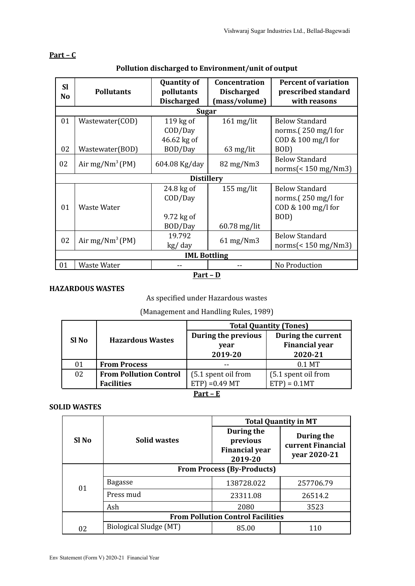| <b>Sl</b><br>N <sub>o</sub> | <b>Pollutants</b>           | <b>Quantity of</b><br>pollutants<br><b>Discharged</b> | Concentration<br><b>Discharged</b><br>(mass/volume) | <b>Percent of variation</b><br>prescribed standard<br>with reasons                      |  |
|-----------------------------|-----------------------------|-------------------------------------------------------|-----------------------------------------------------|-----------------------------------------------------------------------------------------|--|
|                             |                             | Sugar                                                 |                                                     |                                                                                         |  |
| 01                          | Wastewater(COD)             | $119$ kg of<br>COD/Day<br>46.62 kg of                 | $161$ mg/lit                                        | <b>Below Standard</b><br>norms. $(250 \text{ mg/l}$ for<br>$COD & 100$ mg/l for         |  |
| 02                          | Wastewater(BOD)             | BOD/Day                                               | $63$ mg/lit                                         | BOD)                                                                                    |  |
| 02                          | Air mg/Nm <sup>3</sup> (PM) | 604.08 Kg/day                                         | 82 mg/Nm3                                           | <b>Below Standard</b><br>norms(< 150 mg/Nm3)                                            |  |
|                             |                             | <b>Distillery</b>                                     |                                                     |                                                                                         |  |
| 01                          | Waste Water                 | $24.8$ kg of<br>COD/Day<br>9.72 kg of<br>BOD/Day      | $155$ mg/lit<br>60.78 mg/lit                        | <b>Below Standard</b><br>norms. $(250 \text{ mg/l}$ for<br>$COD & 100$ mg/l for<br>BOD) |  |
| 02                          | Air mg/Nm <sup>3</sup> (PM) | 19.792<br>kg/day                                      | $61 \text{ mg}/\text{Nm}3$                          | <b>Below Standard</b><br>norms(< 150 mg/Nm3)                                            |  |
|                             | <b>IML Bottling</b>         |                                                       |                                                     |                                                                                         |  |
| 01                          | <b>Waste Water</b>          |                                                       |                                                     | No Production                                                                           |  |

# **Pollution discharged to Environment/unit of output**

## **Part – D**

### **HAZARDOUS WASTES**

**Part – C**

As specified under Hazardous wastes

### (Management and Handling Rules, 1989)

|       | <b>Hazardous Wastes</b>       | <b>Total Quantity (Tones)</b>          |                                                        |  |
|-------|-------------------------------|----------------------------------------|--------------------------------------------------------|--|
| Sl No |                               | During the previous<br>year<br>2019-20 | During the current<br><b>Financial year</b><br>2020-21 |  |
| 01    | <b>From Process</b>           | --                                     | $0.1$ MT                                               |  |
| 02    | <b>From Pollution Control</b> | (5.1 spent oil from                    | (5.1 spent oil from                                    |  |
|       | <b>Facilities</b>             | $ETP$ ) = 0.49 MT                      | $= 0.1MT$                                              |  |

# **Part – E**

### **SOLID WASTES**

|                                          |                                   | <b>Total Quantity in MT</b>                                                                                   |           |  |
|------------------------------------------|-----------------------------------|---------------------------------------------------------------------------------------------------------------|-----------|--|
| Sl No                                    | <b>Solid wastes</b>               | During the<br>During the<br>previous<br>current Financial<br><b>Financial year</b><br>year 2020-21<br>2019-20 |           |  |
|                                          | <b>From Process (By-Products)</b> |                                                                                                               |           |  |
| 01                                       | <b>Bagasse</b>                    | 138728.022                                                                                                    | 257706.79 |  |
|                                          | Press mud                         | 23311.08                                                                                                      | 26514.2   |  |
|                                          | Ash                               | 2080                                                                                                          | 3523      |  |
| <b>From Pollution Control Facilities</b> |                                   |                                                                                                               |           |  |
| 02                                       | Biological Sludge (MT)            | 85.00                                                                                                         | 110       |  |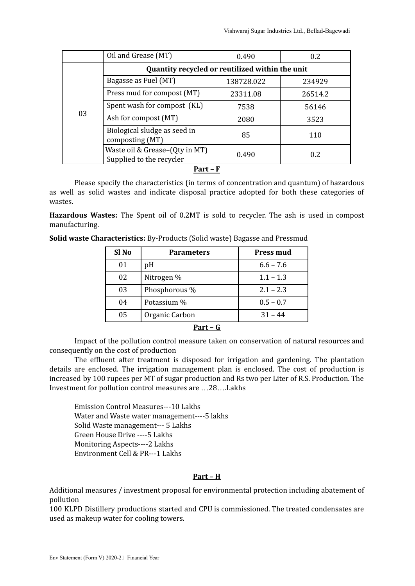|    | Oil and Grease (MT)                                        | 0.490                                           | 0.2     |
|----|------------------------------------------------------------|-------------------------------------------------|---------|
|    |                                                            | Quantity recycled or reutilized within the unit |         |
|    | Bagasse as Fuel (MT)                                       | 138728.022                                      | 234929  |
|    | Press mud for compost (MT)                                 | 23311.08                                        | 26514.2 |
|    | Spent wash for compost (KL)                                | 7538                                            | 56146   |
| 03 | Ash for compost (MT)                                       | 2080                                            | 3523    |
|    | Biological sludge as seed in<br>composting (MT)            | 85                                              | 110     |
|    | Waste oil & Grease-(Qty in MT)<br>Supplied to the recycler | 0.490                                           | 0.2     |

**Part – F**

Please specify the characteristics (in terms of concentration and quantum) of hazardous as well as solid wastes and indicate disposal practice adopted for both these categories of wastes.

**Hazardous Wastes:** The Spent oil of 0.2MT is sold to recycler. The ash is used in compost manufacturing.

| Sl <sub>No</sub> | <b>Parameters</b> | Press mud   |
|------------------|-------------------|-------------|
| 01               | pH                | $6.6 - 7.6$ |
| 02               | Nitrogen %        | $1.1 - 1.3$ |
| 03               | Phosphorous %     | $2.1 - 2.3$ |
| 04               | Potassium %       | $0.5 - 0.7$ |
| 05               | Organic Carbon    | $31 - 44$   |

**Solid waste Characteristics:** By-Products (Solid waste) Bagasse and Pressmud

**Part – G**

Impact of the pollution control measure taken on conservation of natural resources and consequently on the cost of production

The effluent after treatment is disposed for irrigation and gardening. The plantation details are enclosed. The irrigation management plan is enclosed. The cost of production is increased by 100 rupees per MT of sugar production and Rs two per Liter of R.S. Production. The Investment for pollution control measures are …28….Lakhs

Emission Control Measures---10 Lakhs Water and Waste water management----5 lakhs Solid Waste management--- 5 Lakhs Green House Drive ----5 Lakhs Monitoring Aspects----2 Lakhs Environment Cell & PR---1 Lakhs

### **Part – H**

Additional measures / investment proposal for environmental protection including abatement of pollution

100 KLPD Distillery productions started and CPU is commissioned. The treated condensates are used as makeup water for cooling towers.